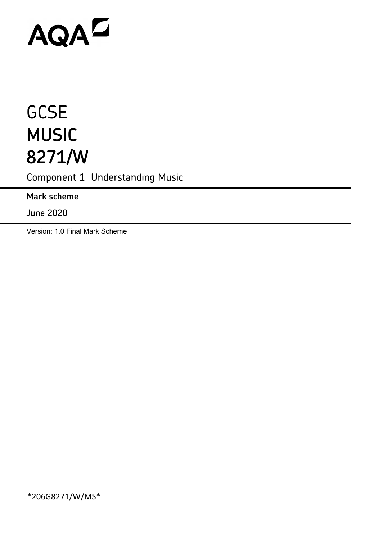# AQAD

## **GCSE MUSIC 8271/W**

Component 1 Understanding Music

**Mark scheme**

June 2020

Version: 1.0 Final Mark Scheme

\*206G8271/W/MS\*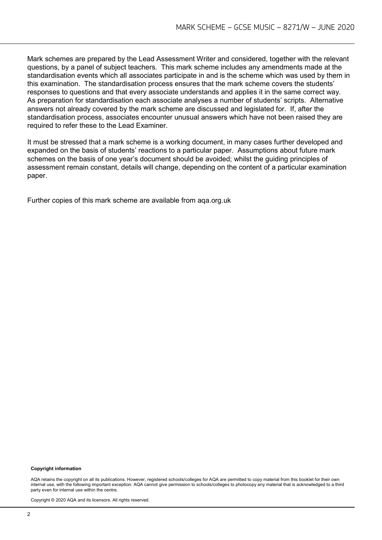Mark schemes are prepared by the Lead Assessment Writer and considered, together with the relevant questions, by a panel of subject teachers. This mark scheme includes any amendments made at the standardisation events which all associates participate in and is the scheme which was used by them in this examination. The standardisation process ensures that the mark scheme covers the students' responses to questions and that every associate understands and applies it in the same correct way. As preparation for standardisation each associate analyses a number of students' scripts. Alternative answers not already covered by the mark scheme are discussed and legislated for. If, after the standardisation process, associates encounter unusual answers which have not been raised they are required to refer these to the Lead Examiner.

It must be stressed that a mark scheme is a working document, in many cases further developed and expanded on the basis of students' reactions to a particular paper. Assumptions about future mark schemes on the basis of one year's document should be avoided; whilst the guiding principles of assessment remain constant, details will change, depending on the content of a particular examination paper.

Further copies of this mark scheme are available from aqa.org.uk

#### **Copyright information**

AQA retains the copyright on all its publications. However, registered schools/colleges for AQA are permitted to copy material from this booklet for their own internal use, with the following important exception: AQA cannot give permission to schools/colleges to photocopy any material that is acknowledged to a third party even for internal use within the centre.

Copyright © 2020 AQA and its licensors. All rights reserved.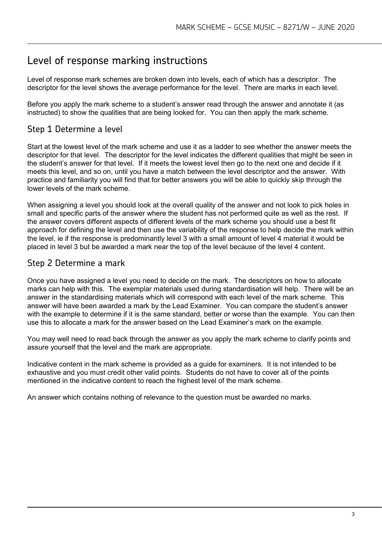## Level of response marking instructions

Level of response mark schemes are broken down into levels, each of which has a descriptor. The descriptor for the level shows the average performance for the level. There are marks in each level.

Before you apply the mark scheme to a student's answer read through the answer and annotate it (as instructed) to show the qualities that are being looked for. You can then apply the mark scheme.

## Step 1 Determine a level

Start at the lowest level of the mark scheme and use it as a ladder to see whether the answer meets the descriptor for that level. The descriptor for the level indicates the different qualities that might be seen in the student's answer for that level. If it meets the lowest level then go to the next one and decide if it meets this level, and so on, until you have a match between the level descriptor and the answer. With practice and familiarity you will find that for better answers you will be able to quickly skip through the lower levels of the mark scheme.

When assigning a level you should look at the overall quality of the answer and not look to pick holes in small and specific parts of the answer where the student has not performed quite as well as the rest. If the answer covers different aspects of different levels of the mark scheme you should use a best fit approach for defining the level and then use the variability of the response to help decide the mark within the level, ie if the response is predominantly level 3 with a small amount of level 4 material it would be placed in level 3 but be awarded a mark near the top of the level because of the level 4 content.

## Step 2 Determine a mark

Once you have assigned a level you need to decide on the mark. The descriptors on how to allocate marks can help with this. The exemplar materials used during standardisation will help. There will be an answer in the standardising materials which will correspond with each level of the mark scheme. This answer will have been awarded a mark by the Lead Examiner. You can compare the student's answer with the example to determine if it is the same standard, better or worse than the example. You can then use this to allocate a mark for the answer based on the Lead Examiner's mark on the example.

You may well need to read back through the answer as you apply the mark scheme to clarify points and assure yourself that the level and the mark are appropriate.

Indicative content in the mark scheme is provided as a guide for examiners. It is not intended to be exhaustive and you must credit other valid points. Students do not have to cover all of the points mentioned in the indicative content to reach the highest level of the mark scheme.

An answer which contains nothing of relevance to the question must be awarded no marks.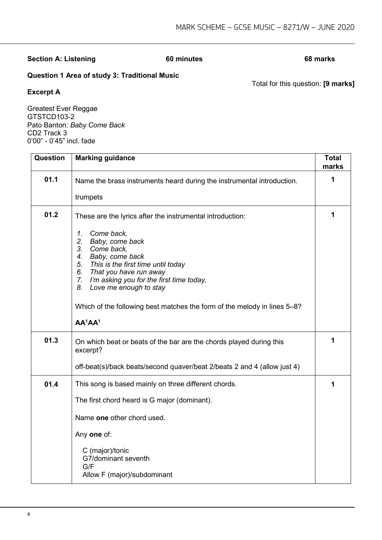## **Section A: Listening 60 minutes 68 marks**

## **Question 1 Area of study 3: Traditional Music**

Total for this question: **[9 marks]**

#### **Excerpt A**

Greatest Ever Reggae GTSTCD103-2 Pato Banton: *Baby Come Back* CD2 Track 3 0'00" - 0'45" incl. fade

| Question | <b>Marking guidance</b>                                                                                                                                                                                                                                                                                                                                             | <b>Total</b><br>marks |
|----------|---------------------------------------------------------------------------------------------------------------------------------------------------------------------------------------------------------------------------------------------------------------------------------------------------------------------------------------------------------------------|-----------------------|
| 01.1     | Name the brass instruments heard during the instrumental introduction.                                                                                                                                                                                                                                                                                              | 1                     |
|          | trumpets                                                                                                                                                                                                                                                                                                                                                            |                       |
| 01.2     | These are the lyrics after the instrumental introduction:                                                                                                                                                                                                                                                                                                           | 1                     |
|          | 1.<br>Come back,<br>2.<br>Baby, come back<br>3.<br>Come back,<br>Baby, come back<br>4.<br>5.<br>This is the first time until today<br>6.<br>That you have run away<br>I'm asking you for the first time today,<br>7.<br>8.<br>Love me enough to stay<br>Which of the following best matches the form of the melody in lines 5-8?<br>AA <sup>1</sup> AA <sup>1</sup> |                       |
|          |                                                                                                                                                                                                                                                                                                                                                                     |                       |
| 01.3     | On which beat or beats of the bar are the chords played during this<br>excerpt?                                                                                                                                                                                                                                                                                     | 1                     |
|          | off-beat(s)/back beats/second quaver/beat 2/beats 2 and 4 (allow just 4)                                                                                                                                                                                                                                                                                            |                       |
| 01.4     | This song is based mainly on three different chords.                                                                                                                                                                                                                                                                                                                | 1                     |
|          | The first chord heard is G major (dominant).                                                                                                                                                                                                                                                                                                                        |                       |
|          | Name one other chord used.                                                                                                                                                                                                                                                                                                                                          |                       |
|          | Any one of:                                                                                                                                                                                                                                                                                                                                                         |                       |
|          | C (major)/tonic<br>G7/dominant seventh<br>G/F<br>Allow F (major)/subdominant                                                                                                                                                                                                                                                                                        |                       |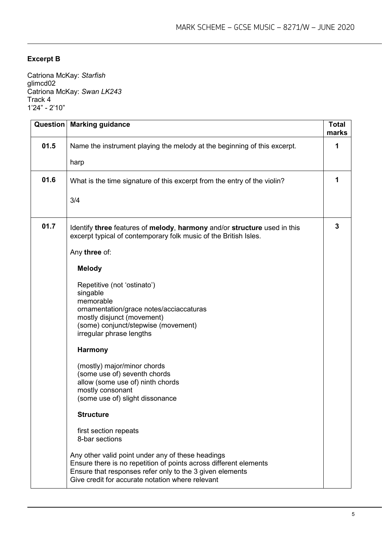## **Excerpt B**

Catriona McKay: *Starfish* glimcd02 Catriona McKay: *Swan LK243* Track 4 1'24" - 2'10"

| Question | <b>Marking guidance</b>                                                                                                                                                                                                                | <b>Total</b><br>marks |
|----------|----------------------------------------------------------------------------------------------------------------------------------------------------------------------------------------------------------------------------------------|-----------------------|
| 01.5     | Name the instrument playing the melody at the beginning of this excerpt.                                                                                                                                                               | 1                     |
|          | harp                                                                                                                                                                                                                                   |                       |
| 01.6     | What is the time signature of this excerpt from the entry of the violin?                                                                                                                                                               | 1                     |
|          | 3/4                                                                                                                                                                                                                                    |                       |
| 01.7     | Identify three features of melody, harmony and/or structure used in this<br>excerpt typical of contemporary folk music of the British Isles.                                                                                           | 3                     |
|          | Any three of:                                                                                                                                                                                                                          |                       |
|          | <b>Melody</b>                                                                                                                                                                                                                          |                       |
|          | Repetitive (not 'ostinato')<br>singable<br>memorable<br>ornamentation/grace notes/acciaccaturas<br>mostly disjunct (movement)<br>(some) conjunct/stepwise (movement)<br>irregular phrase lengths                                       |                       |
|          | <b>Harmony</b>                                                                                                                                                                                                                         |                       |
|          | (mostly) major/minor chords<br>(some use of) seventh chords<br>allow (some use of) ninth chords<br>mostly consonant<br>(some use of) slight dissonance                                                                                 |                       |
|          | <b>Structure</b>                                                                                                                                                                                                                       |                       |
|          | first section repeats<br>8-bar sections                                                                                                                                                                                                |                       |
|          | Any other valid point under any of these headings<br>Ensure there is no repetition of points across different elements<br>Ensure that responses refer only to the 3 given elements<br>Give credit for accurate notation where relevant |                       |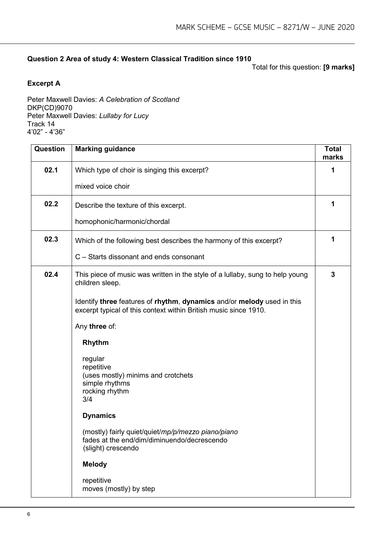## **Question 2 Area of study 4: Western Classical Tradition since 1910**

Total for this question: **[9 marks]**

## **Excerpt A**

Peter Maxwell Davies: *A Celebration of Scotland* DKP(CD)9070 Peter Maxwell Davies: *Lullaby for Lucy* Track 14 4'02" - 4'36"

| Question | <b>Marking guidance</b>                                                                                                                    | <b>Total</b><br>marks |
|----------|--------------------------------------------------------------------------------------------------------------------------------------------|-----------------------|
| 02.1     | Which type of choir is singing this excerpt?                                                                                               | 1                     |
|          | mixed voice choir                                                                                                                          |                       |
| 02.2     | Describe the texture of this excerpt.                                                                                                      | 1                     |
|          | homophonic/harmonic/chordal                                                                                                                |                       |
| 02.3     | Which of the following best describes the harmony of this excerpt?                                                                         | 1                     |
|          | C - Starts dissonant and ends consonant                                                                                                    |                       |
| 02.4     | This piece of music was written in the style of a lullaby, sung to help young<br>children sleep.                                           | 3                     |
|          | Identify three features of rhythm, dynamics and/or melody used in this<br>excerpt typical of this context within British music since 1910. |                       |
|          | Any three of:                                                                                                                              |                       |
|          | Rhythm                                                                                                                                     |                       |
|          | regular<br>repetitive<br>(uses mostly) minims and crotchets<br>simple rhythms<br>rocking rhythm<br>3/4                                     |                       |
|          | <b>Dynamics</b>                                                                                                                            |                       |
|          | (mostly) fairly quiet/quiet/mp/p/mezzo piano/piano<br>fades at the end/dim/diminuendo/decrescendo<br>(slight) crescendo                    |                       |
|          | <b>Melody</b>                                                                                                                              |                       |
|          | repetitive<br>moves (mostly) by step                                                                                                       |                       |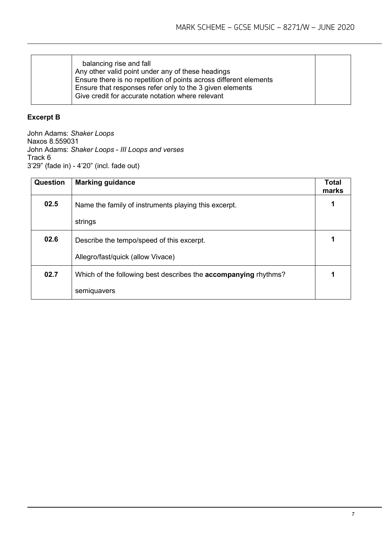| balancing rise and fall<br>Any other valid point under any of these headings<br>Ensure there is no repetition of points across different elements<br>Ensure that responses refer only to the 3 given elements<br>Give credit for accurate notation where relevant |  |
|-------------------------------------------------------------------------------------------------------------------------------------------------------------------------------------------------------------------------------------------------------------------|--|

## **Excerpt B**

John Adams: *Shaker Loops* Naxos 8.559031 John Adams: *Shaker Loops* - *III Loops and verses* Track 6 3'29" (fade in) - 4'20" (incl. fade out)

| <b>Question</b> | <b>Marking guidance</b>                                                | <b>Total</b><br>marks |
|-----------------|------------------------------------------------------------------------|-----------------------|
| 02.5            | Name the family of instruments playing this excerpt.                   | 1                     |
|                 | strings                                                                |                       |
| 02.6            | Describe the tempo/speed of this excerpt.                              |                       |
|                 | Allegro/fast/quick (allow Vivace)                                      |                       |
| 02.7            | Which of the following best describes the <b>accompanying</b> rhythms? |                       |
|                 | semiquavers                                                            |                       |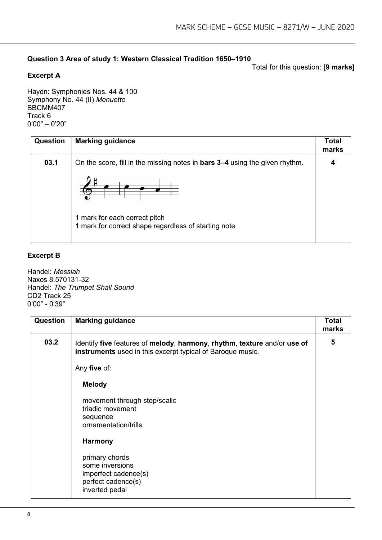## **Question 3 Area of study 1: Western Classical Tradition 1650–1910**

Total for this question: **[9 marks]**

## **Excerpt A**

Haydn: Symphonies Nos. 44 & 100 Symphony No. 44 (II) *Menuetto* BBCMM407 Track 6 0'00" – 0'20"

| Question | <b>Marking guidance</b>                                                               | <b>Total</b><br>marks |
|----------|---------------------------------------------------------------------------------------|-----------------------|
| 03.1     | On the score, fill in the missing notes in <b>bars 3–4</b> using the given rhythm.    | 4                     |
|          |                                                                                       |                       |
|          | 1 mark for each correct pitch<br>1 mark for correct shape regardless of starting note |                       |

## **Excerpt B**

Handel: *Messiah* Naxos 8.570131-32 Handel: *The Trumpet Shall Sound* CD2 Track 25 0'00" - 0'39"

| Question | <b>Marking guidance</b>                                                                                                                | <b>Total</b><br>marks |
|----------|----------------------------------------------------------------------------------------------------------------------------------------|-----------------------|
| 03.2     | Identify five features of melody, harmony, rhythm, texture and/or use of<br>instruments used in this excerpt typical of Baroque music. | 5                     |
|          | Any five of:                                                                                                                           |                       |
|          | <b>Melody</b>                                                                                                                          |                       |
|          | movement through step/scalic<br>triadic movement<br>sequence<br>ornamentation/trills                                                   |                       |
|          | <b>Harmony</b>                                                                                                                         |                       |
|          | primary chords<br>some inversions<br>imperfect cadence(s)<br>perfect cadence(s)<br>inverted pedal                                      |                       |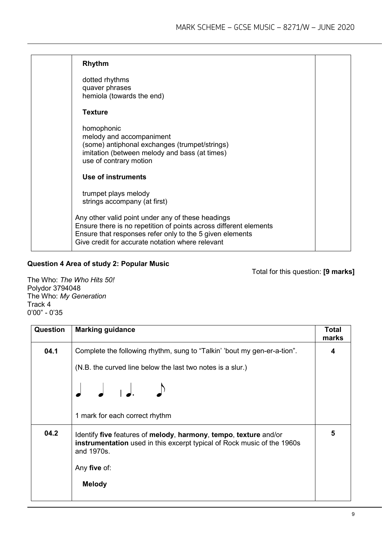| <b>Rhythm</b>                                                                                                                                                                                                                          |  |
|----------------------------------------------------------------------------------------------------------------------------------------------------------------------------------------------------------------------------------------|--|
| dotted rhythms<br>quaver phrases<br>hemiola (towards the end)                                                                                                                                                                          |  |
| <b>Texture</b>                                                                                                                                                                                                                         |  |
| homophonic<br>melody and accompaniment<br>(some) antiphonal exchanges (trumpet/strings)<br>imitation (between melody and bass (at times)<br>use of contrary motion                                                                     |  |
| <b>Use of instruments</b>                                                                                                                                                                                                              |  |
| trumpet plays melody<br>strings accompany (at first)                                                                                                                                                                                   |  |
| Any other valid point under any of these headings<br>Ensure there is no repetition of points across different elements<br>Ensure that responses refer only to the 5 given elements<br>Give credit for accurate notation where relevant |  |

## **Question 4 Area of study 2: Popular Music**

Total for this question: **[9 marks]**

The Who: *The Who Hits 50!* Polydor 3794048 The Who: *My Generation* Track 4 0'00" - 0'35

| Question | <b>Marking guidance</b>                                                                                                                                                                                     | Total<br>marks |
|----------|-------------------------------------------------------------------------------------------------------------------------------------------------------------------------------------------------------------|----------------|
| 04.1     | Complete the following rhythm, sung to "Talkin' 'bout my gen-er-a-tion".                                                                                                                                    | 4              |
|          | (N.B. the curved line below the last two notes is a slur.)                                                                                                                                                  |                |
|          | $\begin{array}{ccc} \begin{array}{ccc} \ \ \end{array} & \begin{array}{ccc} \ \ \end{array} & \begin{array}{ccc} \ \ \end{array} & \begin{array}{ccc} \ \ \end{array} & \begin{array}{ccc} \ \ \end{array}$ |                |
|          | 1 mark for each correct rhythm                                                                                                                                                                              |                |
| 04.2     | Identify five features of melody, harmony, tempo, texture and/or<br>instrumentation used in this excerpt typical of Rock music of the 1960s<br>and 1970s.                                                   | 5              |
|          | Any five of:                                                                                                                                                                                                |                |
|          | <b>Melody</b>                                                                                                                                                                                               |                |
|          |                                                                                                                                                                                                             |                |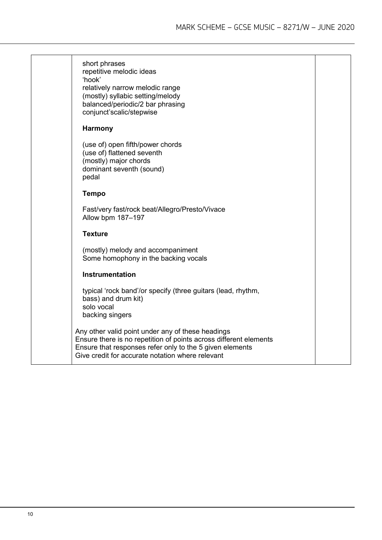| short phrases<br>repetitive melodic ideas<br>'hook'<br>relatively narrow melodic range<br>(mostly) syllabic setting/melody<br>balanced/periodic/2 bar phrasing<br>conjunct'scalic/stepwise                                             |  |
|----------------------------------------------------------------------------------------------------------------------------------------------------------------------------------------------------------------------------------------|--|
| <b>Harmony</b>                                                                                                                                                                                                                         |  |
| (use of) open fifth/power chords<br>(use of) flattened seventh<br>(mostly) major chords<br>dominant seventh (sound)<br>pedal                                                                                                           |  |
| <b>Tempo</b>                                                                                                                                                                                                                           |  |
| Fast/very fast/rock beat/Allegro/Presto/Vivace<br>Allow bpm 187-197                                                                                                                                                                    |  |
| <b>Texture</b>                                                                                                                                                                                                                         |  |
| (mostly) melody and accompaniment<br>Some homophony in the backing vocals                                                                                                                                                              |  |
| Instrumentation                                                                                                                                                                                                                        |  |
| typical 'rock band'/or specify (three guitars (lead, rhythm,<br>bass) and drum kit)<br>solo vocal<br>backing singers                                                                                                                   |  |
| Any other valid point under any of these headings<br>Ensure there is no repetition of points across different elements<br>Ensure that responses refer only to the 5 given elements<br>Give credit for accurate notation where relevant |  |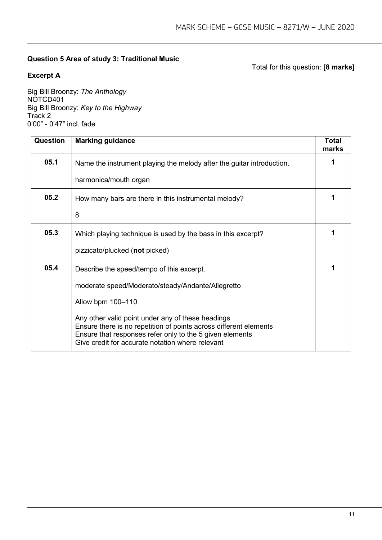## **Question 5 Area of study 3: Traditional Music**

## **Excerpt A**

Total for this question: **[8 marks]**

Big Bill Broonzy: *The Anthology* NOTCD401 Big Bill Broonzy: *Key to the Highway* Track 2 0'00" - 0'47" incl. fade

| Question | <b>Marking guidance</b>                                                                                                                                                                                                                | <b>Total</b><br>marks |
|----------|----------------------------------------------------------------------------------------------------------------------------------------------------------------------------------------------------------------------------------------|-----------------------|
| 05.1     | Name the instrument playing the melody after the guitar introduction.                                                                                                                                                                  | 1                     |
|          | harmonica/mouth organ                                                                                                                                                                                                                  |                       |
| 05.2     | How many bars are there in this instrumental melody?                                                                                                                                                                                   | 1                     |
|          | 8                                                                                                                                                                                                                                      |                       |
| 05.3     | Which playing technique is used by the bass in this excerpt?                                                                                                                                                                           | 1                     |
|          | pizzicato/plucked (not picked)                                                                                                                                                                                                         |                       |
| 05.4     | Describe the speed/tempo of this excerpt.                                                                                                                                                                                              |                       |
|          | moderate speed/Moderato/steady/Andante/Allegretto                                                                                                                                                                                      |                       |
|          | Allow bpm 100-110                                                                                                                                                                                                                      |                       |
|          | Any other valid point under any of these headings<br>Ensure there is no repetition of points across different elements<br>Ensure that responses refer only to the 5 given elements<br>Give credit for accurate notation where relevant |                       |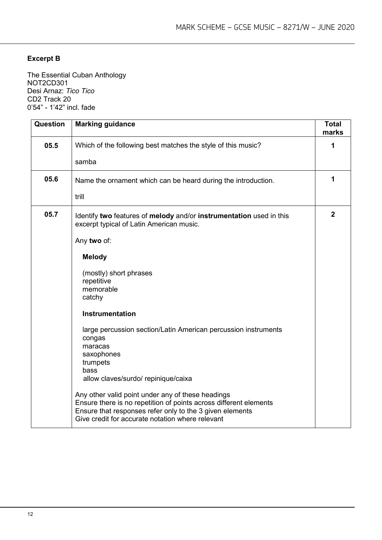## **Excerpt B**

The Essential Cuban Anthology NOT2CD301 Desi Arnaz: *Tico Tico* CD2 Track 20 0'54" - 1'42" incl. fade

| Question | <b>Marking guidance</b>                                                                                                                                                                                                                | <b>Total</b><br>marks |
|----------|----------------------------------------------------------------------------------------------------------------------------------------------------------------------------------------------------------------------------------------|-----------------------|
| 05.5     | Which of the following best matches the style of this music?                                                                                                                                                                           | 1                     |
|          | samba                                                                                                                                                                                                                                  |                       |
| 05.6     | Name the ornament which can be heard during the introduction.                                                                                                                                                                          | 1                     |
|          | trill                                                                                                                                                                                                                                  |                       |
| 05.7     | Identify two features of melody and/or instrumentation used in this<br>excerpt typical of Latin American music.                                                                                                                        | $\overline{2}$        |
|          | Any two of:                                                                                                                                                                                                                            |                       |
|          | <b>Melody</b>                                                                                                                                                                                                                          |                       |
|          | (mostly) short phrases<br>repetitive<br>memorable<br>catchy                                                                                                                                                                            |                       |
|          | Instrumentation                                                                                                                                                                                                                        |                       |
|          | large percussion section/Latin American percussion instruments<br>congas<br>maracas<br>saxophones<br>trumpets<br>bass<br>allow claves/surdo/ repinique/caixa                                                                           |                       |
|          | Any other valid point under any of these headings<br>Ensure there is no repetition of points across different elements<br>Ensure that responses refer only to the 3 given elements<br>Give credit for accurate notation where relevant |                       |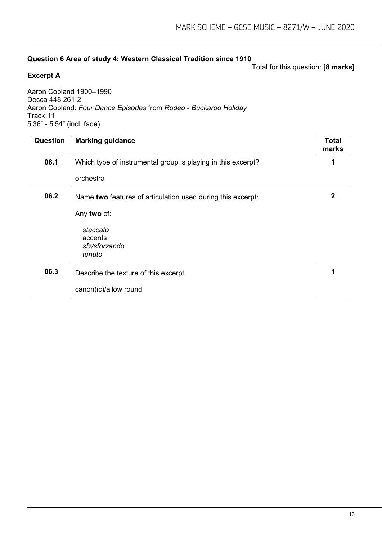## **Question 6 Area of study 4: Western Classical Tradition since 1910**

Total for this question: **[8 marks]**

## **Excerpt A**

Aaron Copland 1900–1990 Decca 448 261-2 Aaron Copland: *Four Dance Episodes* from *Rodeo* - *Buckaroo Holiday* Track 11 5'36" - 5'54" (incl. fade)

| Question | <b>Marking guidance</b>                                      | <b>Total</b><br>marks |
|----------|--------------------------------------------------------------|-----------------------|
| 06.1     | Which type of instrumental group is playing in this excerpt? | 1                     |
|          | orchestra                                                    |                       |
| 06.2     | Name two features of articulation used during this excerpt:  | $\mathbf 2$           |
|          | Any two of:                                                  |                       |
|          | staccato<br>accents                                          |                       |
|          | sfz/sforzando<br>tenuto                                      |                       |
|          |                                                              |                       |
| 06.3     | Describe the texture of this excerpt.                        | 1                     |
|          | canon(ic)/allow round                                        |                       |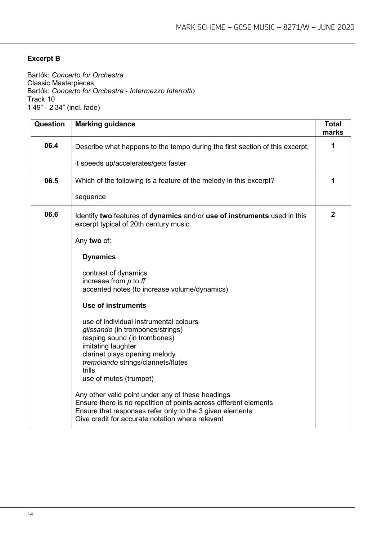## **Excerpt B**

Bartók: *Concerto for Orchestra* Classic Masterpieces Bartók: *Concerto for Orchestra* - *Intermezzo Interrotto* Track 10 1'49" - 2'34" (incl. fade)

| Question | <b>Marking guidance</b>                                                                                                                                                                                                                | <b>Total</b><br>marks |
|----------|----------------------------------------------------------------------------------------------------------------------------------------------------------------------------------------------------------------------------------------|-----------------------|
| 06.4     | Describe what happens to the tempo during the first section of this excerpt.                                                                                                                                                           | 1                     |
|          | it speeds up/accelerates/gets faster                                                                                                                                                                                                   |                       |
| 06.5     | Which of the following is a feature of the melody in this excerpt?                                                                                                                                                                     | 1                     |
|          | sequence                                                                                                                                                                                                                               |                       |
| 06.6     | Identify two features of dynamics and/or use of instruments used in this<br>excerpt typical of 20th century music.                                                                                                                     | $\overline{2}$        |
|          | Any two of:                                                                                                                                                                                                                            |                       |
|          | <b>Dynamics</b>                                                                                                                                                                                                                        |                       |
|          | contrast of dynamics<br>increase from $p$ to $f\!f$                                                                                                                                                                                    |                       |
|          | accented notes (to increase volume/dynamics)                                                                                                                                                                                           |                       |
|          | <b>Use of instruments</b>                                                                                                                                                                                                              |                       |
|          | use of individual instrumental colours<br>glissando (in trombones/strings)                                                                                                                                                             |                       |
|          | rasping sound (in trombones)                                                                                                                                                                                                           |                       |
|          | imitating laughter<br>clarinet plays opening melody                                                                                                                                                                                    |                       |
|          | tremolando strings/clarinets/flutes<br>trills                                                                                                                                                                                          |                       |
|          | use of mutes (trumpet)                                                                                                                                                                                                                 |                       |
|          | Any other valid point under any of these headings<br>Ensure there is no repetition of points across different elements<br>Ensure that responses refer only to the 3 given elements<br>Give credit for accurate notation where relevant |                       |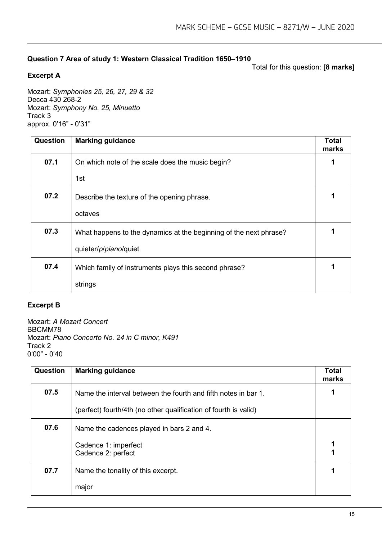## **Question 7 Area of study 1: Western Classical Tradition 1650–1910**

Total for this question: **[8 marks]**

## **Excerpt A**

Mozart: *Symphonies 25, 26, 27, 29 & 32* Decca 430 268-2 Mozart: *Symphony No. 25, Minuetto* Track 3 approx. 0'16" - 0'31"

| Question | <b>Marking guidance</b>                                           | <b>Total</b><br>marks |
|----------|-------------------------------------------------------------------|-----------------------|
| 07.1     | On which note of the scale does the music begin?                  |                       |
|          | 1st                                                               |                       |
| 07.2     | Describe the texture of the opening phrase.                       |                       |
|          | octaves                                                           |                       |
| 07.3     | What happens to the dynamics at the beginning of the next phrase? |                       |
|          | quieter/ <i>p/piano/quiet</i>                                     |                       |
| 07.4     | Which family of instruments plays this second phrase?             |                       |
|          | strings                                                           |                       |

#### **Excerpt B**

Mozart: *A Mozart Concert* BBCMM78 Mozart: *Piano Concerto No. 24 in C minor, K491* Track 2 0'00" - 0'40

| <b>Question</b> | <b>Marking guidance</b>                                          | <b>Total</b><br>marks |
|-----------------|------------------------------------------------------------------|-----------------------|
| 07.5            | Name the interval between the fourth and fifth notes in bar 1.   | 1                     |
|                 | (perfect) fourth/4th (no other qualification of fourth is valid) |                       |
| 07.6            | Name the cadences played in bars 2 and 4.                        |                       |
|                 | Cadence 1: imperfect<br>Cadence 2: perfect                       |                       |
| 07.7            | Name the tonality of this excerpt.                               |                       |
|                 | major                                                            |                       |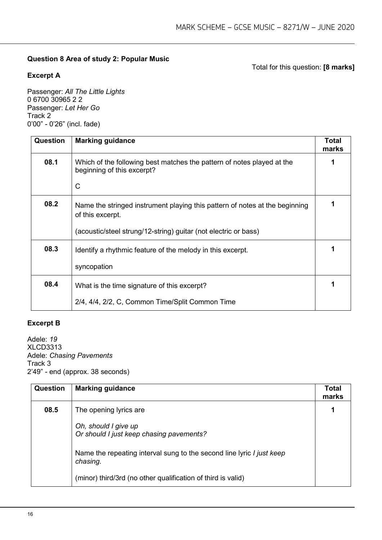## **Question 8 Area of study 2: Popular Music**

#### **Excerpt A**

Total for this question: **[8 marks]**

Passenger: *All The Little Lights* 0 6700 30965 2 2 Passenger: *Let Her Go* Track 2 0'00" - 0'26" (incl. fade)

| Question | <b>Marking guidance</b>                                                                              | Total<br>marks |
|----------|------------------------------------------------------------------------------------------------------|----------------|
| 08.1     | Which of the following best matches the pattern of notes played at the<br>beginning of this excerpt? |                |
|          | C                                                                                                    |                |
| 08.2     | Name the stringed instrument playing this pattern of notes at the beginning<br>of this excerpt.      |                |
|          | (acoustic/steel strung/12-string) guitar (not electric or bass)                                      |                |
| 08.3     | Identify a rhythmic feature of the melody in this excerpt.                                           |                |
|          | syncopation                                                                                          |                |
| 08.4     | What is the time signature of this excerpt?                                                          |                |
|          | 2/4, 4/4, 2/2, C, Common Time/Split Common Time                                                      |                |

#### **Excerpt B**

Adele: *19* XLCD3313 Adele: *Chasing Pavements* Track 3 2'49" - end (approx. 38 seconds)

| <b>Question</b> | <b>Marking guidance</b>                                                                  | <b>Total</b><br>marks |
|-----------------|------------------------------------------------------------------------------------------|-----------------------|
| 08.5            | The opening lyrics are                                                                   |                       |
|                 | Oh, should I give up<br>Or should I just keep chasing pavements?                         |                       |
|                 | Name the repeating interval sung to the second line lyric <i>I just keep</i><br>chasing. |                       |
|                 | (minor) third/3rd (no other qualification of third is valid)                             |                       |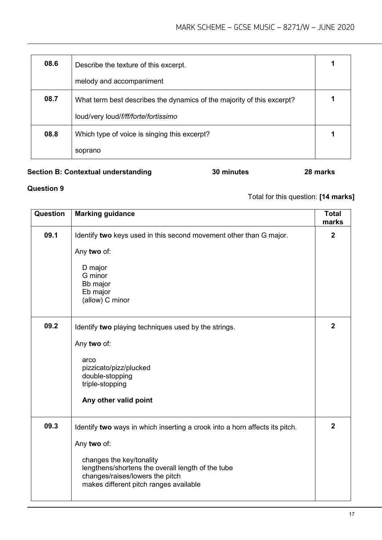| 08.6 | Describe the texture of this excerpt.                                  |  |
|------|------------------------------------------------------------------------|--|
|      | melody and accompaniment                                               |  |
| 08.7 | What term best describes the dynamics of the majority of this excerpt? |  |
|      | loud/very loud/f/ff/forte/fortissimo                                   |  |
| 08.8 | Which type of voice is singing this excerpt?                           |  |
|      | soprano                                                                |  |

#### **Section B: Contextual understanding 30 minutes 28 marks**

## **Question 9**

## Total for this question: **[14 marks]**

| Question | <b>Marking guidance</b>                                                                                                                                                                                                                                  | <b>Total</b><br>marks |
|----------|----------------------------------------------------------------------------------------------------------------------------------------------------------------------------------------------------------------------------------------------------------|-----------------------|
| 09.1     | Identify two keys used in this second movement other than G major.<br>Any two of:<br>D major<br>G minor<br>Bb major<br>Eb major<br>(allow) C minor                                                                                                       | $\overline{2}$        |
| 09.2     | Identify two playing techniques used by the strings.<br>Any two of:<br>arco<br>pizzicato/pizz/plucked<br>double-stopping<br>triple-stopping<br>Any other valid point                                                                                     | $\overline{2}$        |
| 09.3     | Identify two ways in which inserting a crook into a horn affects its pitch.<br>Any two of:<br>changes the key/tonality<br>lengthens/shortens the overall length of the tube<br>changes/raises/lowers the pitch<br>makes different pitch ranges available | $\mathbf{2}$          |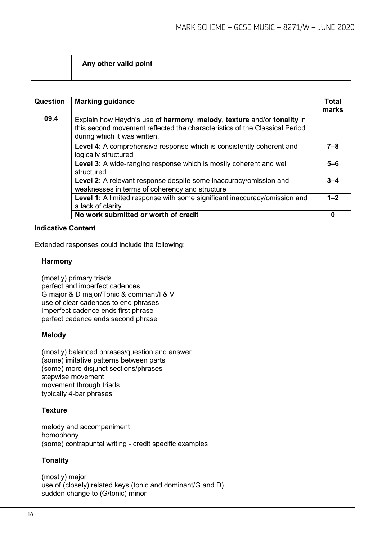| Any other valid point |  |
|-----------------------|--|
|                       |  |
|                       |  |
|                       |  |
|                       |  |

| Question | <b>Marking guidance</b>                                                                                                                                                              | <b>Total</b><br>marks |
|----------|--------------------------------------------------------------------------------------------------------------------------------------------------------------------------------------|-----------------------|
| 09.4     | Explain how Haydn's use of harmony, melody, texture and/or tonality in<br>this second movement reflected the characteristics of the Classical Period<br>during which it was written. |                       |
|          | Level 4: A comprehensive response which is consistently coherent and<br>logically structured                                                                                         | $7 - 8$               |
|          | Level 3: A wide-ranging response which is mostly coherent and well<br>structured                                                                                                     | $5 - 6$               |
|          | Level 2: A relevant response despite some inaccuracy/omission and<br>weaknesses in terms of coherency and structure                                                                  | $3 - 4$               |
|          | Level 1: A limited response with some significant inaccuracy/omission and<br>a lack of clarity                                                                                       | $1 - 2$               |
|          | No work submitted or worth of credit                                                                                                                                                 | 0                     |

#### **Indicative Content**

Extended responses could include the following:

#### **Harmony**

(mostly) primary triads perfect and imperfect cadences G major & D major/Tonic & dominant/I & V use of clear cadences to end phrases imperfect cadence ends first phrase perfect cadence ends second phrase

#### **Melody**

(mostly) balanced phrases/question and answer (some) imitative patterns between parts (some) more disjunct sections/phrases stepwise movement movement through triads typically 4-bar phrases

#### **Texture**

melody and accompaniment homophony (some) contrapuntal writing - credit specific examples

#### **Tonality**

(mostly) major use of (closely) related keys (tonic and dominant/G and D) sudden change to (G/tonic) minor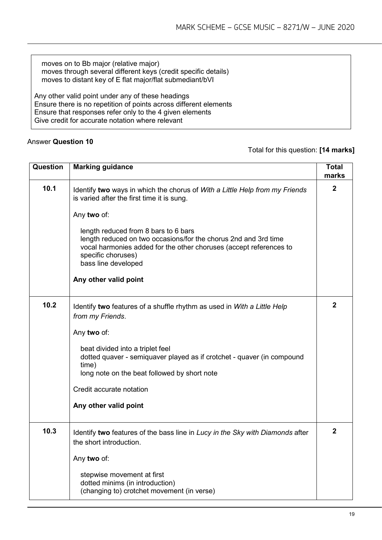moves on to Bb major (relative major) moves through several different keys (credit specific details) moves to distant key of E flat major/flat submediant/bVI

Any other valid point under any of these headings Ensure there is no repetition of points across different elements Ensure that responses refer only to the 4 given elements Give credit for accurate notation where relevant

#### Answer **Question 10**

#### Total for this question: **[14 marks]**

| Question | <b>Marking guidance</b>                                                                                                                                                                                                    | <b>Total</b><br>marks |
|----------|----------------------------------------------------------------------------------------------------------------------------------------------------------------------------------------------------------------------------|-----------------------|
| 10.1     | Identify two ways in which the chorus of With a Little Help from my Friends<br>is varied after the first time it is sung.                                                                                                  | $\mathbf{2}$          |
|          | Any two of:                                                                                                                                                                                                                |                       |
|          | length reduced from 8 bars to 6 bars<br>length reduced on two occasions/for the chorus 2nd and 3rd time<br>vocal harmonies added for the other choruses (accept references to<br>specific choruses)<br>bass line developed |                       |
|          | Any other valid point                                                                                                                                                                                                      |                       |
| 10.2     | Identify two features of a shuffle rhythm as used in With a Little Help<br>from my Friends.                                                                                                                                | $\mathbf{2}$          |
|          | Any two of:                                                                                                                                                                                                                |                       |
|          | beat divided into a triplet feel<br>dotted quaver - semiquaver played as if crotchet - quaver (in compound<br>time)                                                                                                        |                       |
|          | long note on the beat followed by short note                                                                                                                                                                               |                       |
|          | Credit accurate notation                                                                                                                                                                                                   |                       |
|          | Any other valid point                                                                                                                                                                                                      |                       |
| 10.3     | Identify two features of the bass line in Lucy in the Sky with Diamonds after<br>the short introduction.                                                                                                                   | $\mathbf{2}$          |
|          | Any two of:                                                                                                                                                                                                                |                       |
|          | stepwise movement at first<br>dotted minims (in introduction)<br>(changing to) crotchet movement (in verse)                                                                                                                |                       |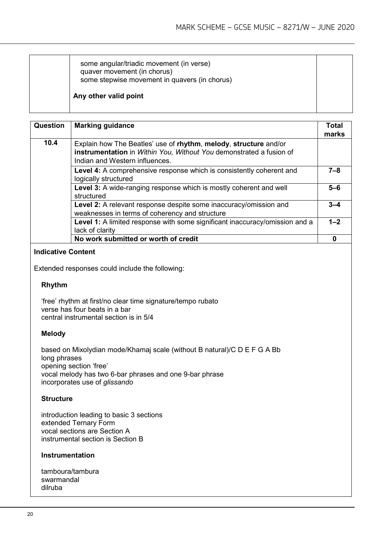| some angular/triadic movement (in verse)<br>quaver movement (in chorus)<br>some stepwise movement in quavers (in chorus) |  |
|--------------------------------------------------------------------------------------------------------------------------|--|
| Any other valid point                                                                                                    |  |

| <b>Question</b> | <b>Marking guidance</b>                                                                                                                                                   | <b>Total</b><br>marks |
|-----------------|---------------------------------------------------------------------------------------------------------------------------------------------------------------------------|-----------------------|
| 10.4            | Explain how The Beatles' use of rhythm, melody, structure and/or<br>instrumentation in Within You, Without You demonstrated a fusion of<br>Indian and Western influences. |                       |
|                 | Level 4: A comprehensive response which is consistently coherent and<br>logically structured                                                                              | 7–8                   |
|                 | Level 3: A wide-ranging response which is mostly coherent and well<br>structured                                                                                          | $5 - 6$               |
|                 | Level 2: A relevant response despite some inaccuracy/omission and<br>weaknesses in terms of coherency and structure                                                       | $3 - 4$               |
|                 | Level 1: A limited response with some significant inaccuracy/omission and a<br>lack of clarity                                                                            | $1 - 2$               |
|                 | No work submitted or worth of credit                                                                                                                                      |                       |

## **Indicative Content**

Extended responses could include the following:

#### **Rhythm**

'free' rhythm at first/no clear time signature/tempo rubato verse has four beats in a bar central instrumental section is in 5/4

#### **Melody**

based on Mixolydian mode/Khamaj scale (without B natural)/C D E F G A Bb long phrases opening section 'free' vocal melody has two 6-bar phrases and one 9-bar phrase incorporates use of *glissando*

#### **Structure**

introduction leading to basic 3 sections extended Ternary Form vocal sections are Section A instrumental section is Section B

#### **Instrumentation**

tamboura/tambura swarmandal dilruba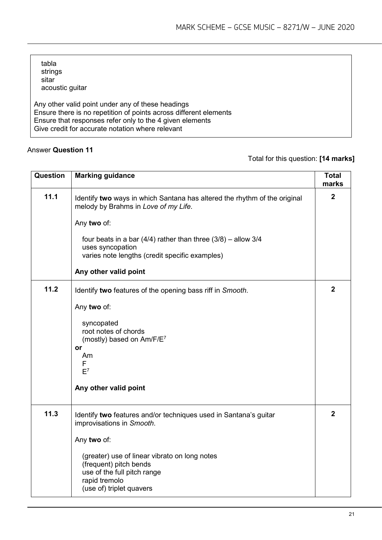| tabla<br>strings<br>sitar<br>acoustic guitar                                                                                                                                                                                           |  |
|----------------------------------------------------------------------------------------------------------------------------------------------------------------------------------------------------------------------------------------|--|
| Any other valid point under any of these headings<br>Ensure there is no repetition of points across different elements<br>Ensure that responses refer only to the 4 given elements<br>Give credit for accurate notation where relevant |  |

#### Answer **Question 11**

## Total for this question: **[14 marks]**

| Question | <b>Marking guidance</b>                                                                                                                             | <b>Total</b><br>marks |
|----------|-----------------------------------------------------------------------------------------------------------------------------------------------------|-----------------------|
| 11.1     | Identify two ways in which Santana has altered the rhythm of the original<br>melody by Brahms in Love of my Life.                                   | $\overline{2}$        |
|          | Any two of:                                                                                                                                         |                       |
|          | four beats in a bar (4/4) rather than three $(3/8)$ – allow 3/4<br>uses syncopation<br>varies note lengths (credit specific examples)               |                       |
|          | Any other valid point                                                                                                                               |                       |
| 11.2     | Identify two features of the opening bass riff in Smooth.                                                                                           | $\mathbf{2}$          |
|          | Any two of:<br>syncopated<br>root notes of chords<br>(mostly) based on Am/F/E <sup>7</sup><br>or<br>Am<br>F.<br>$E^7$<br>Any other valid point      |                       |
| 11.3     | Identify two features and/or techniques used in Santana's guitar<br>improvisations in Smooth.                                                       | $\overline{2}$        |
|          | Any two of:                                                                                                                                         |                       |
|          | (greater) use of linear vibrato on long notes<br>(frequent) pitch bends<br>use of the full pitch range<br>rapid tremolo<br>(use of) triplet quavers |                       |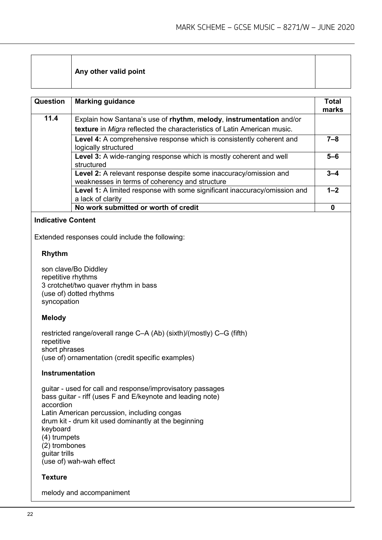|  | Any other valid point |  |
|--|-----------------------|--|
|  |                       |  |

| <b>Question</b> | <b>Marking guidance</b>                                                                                                                        | <b>Total</b><br>marks |
|-----------------|------------------------------------------------------------------------------------------------------------------------------------------------|-----------------------|
| 11.4            | Explain how Santana's use of rhythm, melody, instrumentation and/or<br>texture in Migra reflected the characteristics of Latin American music. |                       |
|                 | Level 4: A comprehensive response which is consistently coherent and<br>logically structured                                                   | $7 - 8$               |
|                 | Level 3: A wide-ranging response which is mostly coherent and well<br>structured                                                               | $5-6$                 |
|                 | Level 2: A relevant response despite some inaccuracy/omission and<br>weaknesses in terms of coherency and structure                            | $3 - 4$               |
|                 | Level 1: A limited response with some significant inaccuracy/omission and<br>a lack of clarity                                                 | $1 - 2$               |
|                 | No work submitted or worth of credit                                                                                                           | 0                     |

#### **Indicative Content**

Extended responses could include the following:

#### **Rhythm**

son clave/Bo Diddley repetitive rhythms 3 crotchet/two quaver rhythm in bass (use of) dotted rhythms syncopation

#### **Melody**

restricted range/overall range C–A (Ab) (sixth)/(mostly) C–G (fifth) repetitive short phrases (use of) ornamentation (credit specific examples)

#### **Instrumentation**

guitar - used for call and response/improvisatory passages bass guitar - riff (uses F and E/keynote and leading note) accordion Latin American percussion, including congas drum kit - drum kit used dominantly at the beginning keyboard (4) trumpets (2) trombones guitar trills (use of) wah-wah effect

#### **Texture**

melody and accompaniment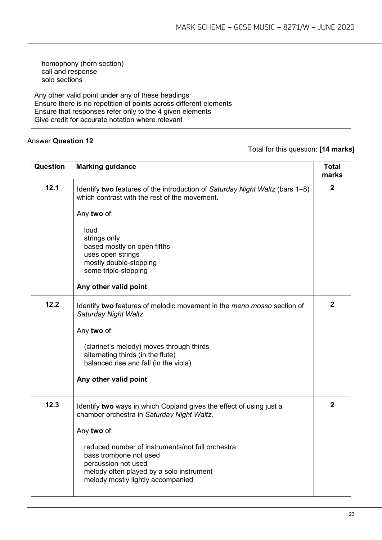homophony (horn section) call and response solo sections Any other valid point under any of these headings Ensure there is no repetition of points across different elements Ensure that responses refer only to the 4 given elements Give credit for accurate notation where relevant

#### Answer **Question 12**

#### Total for this question: **[14 marks]**

| Question | <b>Marking guidance</b>                                                                                                                                                            | <b>Total</b><br>marks |
|----------|------------------------------------------------------------------------------------------------------------------------------------------------------------------------------------|-----------------------|
| 12.1     | Identify two features of the introduction of Saturday Night Waltz (bars 1-8)<br>which contrast with the rest of the movement.                                                      | $\overline{2}$        |
|          | Any two of:                                                                                                                                                                        |                       |
|          | loud<br>strings only<br>based mostly on open fifths<br>uses open strings<br>mostly double-stopping<br>some triple-stopping                                                         |                       |
|          | Any other valid point                                                                                                                                                              |                       |
| 12.2     | Identify two features of melodic movement in the meno mosso section of<br>Saturday Night Waltz.                                                                                    | $\overline{2}$        |
|          | Any two of:                                                                                                                                                                        |                       |
|          | (clarinet's melody) moves through thirds<br>alternating thirds (in the flute)<br>balanced rise and fall (in the viola)                                                             |                       |
|          | Any other valid point                                                                                                                                                              |                       |
| 12.3     | Identify two ways in which Copland gives the effect of using just a<br>chamber orchestra in Saturday Night Waltz.                                                                  | $\overline{2}$        |
|          | Any two of:                                                                                                                                                                        |                       |
|          | reduced number of instruments/not full orchestra<br>bass trombone not used<br>percussion not used<br>melody often played by a solo instrument<br>melody mostly lightly accompanied |                       |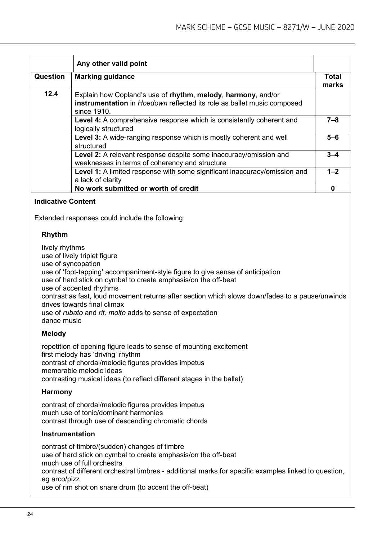|                 | Any other valid point                                                                                                                                 |                |
|-----------------|-------------------------------------------------------------------------------------------------------------------------------------------------------|----------------|
| <b>Question</b> | <b>Marking guidance</b>                                                                                                                               | Total<br>marks |
| 12.4            | Explain how Copland's use of rhythm, melody, harmony, and/or<br>instrumentation in Hoedown reflected its role as ballet music composed<br>since 1910. |                |
|                 | Level 4: A comprehensive response which is consistently coherent and<br>logically structured                                                          | $7 - 8$        |
|                 | Level 3: A wide-ranging response which is mostly coherent and well<br>structured                                                                      | $5 - 6$        |
|                 | Level 2: A relevant response despite some inaccuracy/omission and<br>weaknesses in terms of coherency and structure                                   | $3 - 4$        |
|                 | Level 1: A limited response with some significant inaccuracy/omission and<br>a lack of clarity                                                        | $1 - 2$        |
|                 | No work submitted or worth of credit                                                                                                                  | 0              |

## **Indicative Content**

Extended responses could include the following:

#### **Rhythm**

Iively rhythms use of lively triplet figure use of syncopation use of 'foot-tapping' accompaniment-style figure to give sense of anticipation use of hard stick on cymbal to create emphasis/on the off-beat use of accented rhythms contrast as fast, loud movement returns after section which slows down/fades to a pause/unwinds drives towards final climax use of *rubato* and *rit. molto* adds to sense of expectation dance music

#### **Melody**

repetition of opening figure leads to sense of mounting excitement first melody has 'driving' rhythm contrast of chordal/melodic figures provides impetus memorable melodic ideas contrasting musical ideas (to reflect different stages in the ballet)

#### **Harmony**

contrast of chordal/melodic figures provides impetus much use of tonic/dominant harmonies contrast through use of descending chromatic chords

#### **Instrumentation**

contrast of timbre/(sudden) changes of timbre use of hard stick on cymbal to create emphasis/on the off-beat much use of full orchestra contrast of different orchestral timbres - additional marks for specific examples linked to question, eg arco/pizz use of rim shot on snare drum (to accent the off-beat)